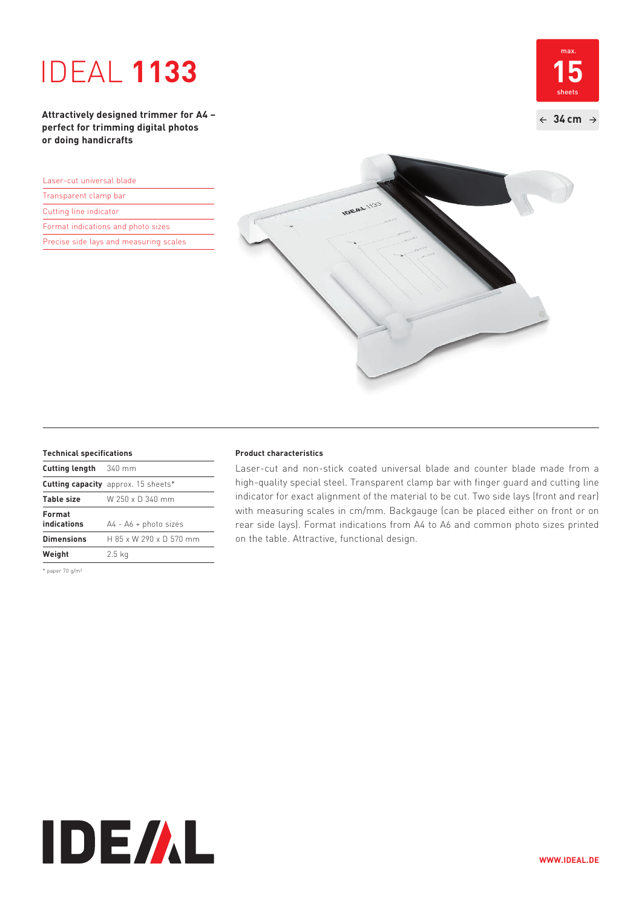# IDEAL **1133**

**15**  $\leftarrow$  34 cm  $\rightarrow$ max. sheets

**Attractively designed trimmer for A4 – perfect for trimming digital photos or doing handicrafts**

| Laser-cut universal blade              |  |  |
|----------------------------------------|--|--|
| Transparent clamp bar                  |  |  |
| Cutting line indicator                 |  |  |
| Format indications and photo sizes     |  |  |
| Precise side lays and measuring scales |  |  |



| Cutting length        | $340$ mm                                   |
|-----------------------|--------------------------------------------|
|                       | <b>Cutting capacity</b> approx. 15 sheets* |
| Table size            | W 250 x D 340 mm                           |
| Format<br>indications | $A4 - A6 + photo sizes$                    |
| <b>Dimensions</b>     | $H$ 85 x W 290 x D 570 mm                  |
| Weight                | $2.5$ kg                                   |

\* paper 70 g/m²

#### **Technical specifications Product characteristics**

Laser-cut and non-stick coated universal blade and counter blade made from a high-quality special steel. Transparent clamp bar with finger guard and cutting line indicator for exact alignment of the material to be cut. Two side lays (front and rear) with measuring scales in cm/mm. Backgauge (can be placed either on front or on rear side lays). Format indications from A4 to A6 and common photo sizes printed on the table. Attractive, functional design.